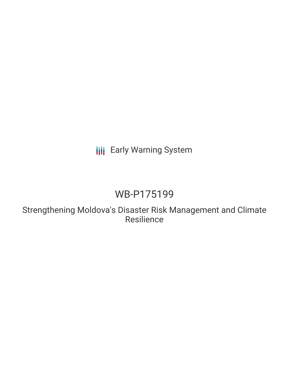## **III** Early Warning System

# WB-P175199

Strengthening Moldova's Disaster Risk Management and Climate Resilience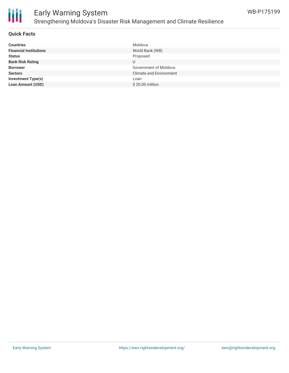

### Early Warning System Strengthening Moldova's Disaster Risk Management and Climate Resilience

### **Quick Facts**

| <b>Countries</b>              | Moldova                        |
|-------------------------------|--------------------------------|
| <b>Financial Institutions</b> | World Bank (WB)                |
| <b>Status</b>                 | Proposed                       |
| <b>Bank Risk Rating</b>       | U                              |
| <b>Borrower</b>               | Government of Moldova          |
| <b>Sectors</b>                | <b>Climate and Environment</b> |
| Investment Type(s)            | Loan                           |
| <b>Loan Amount (USD)</b>      | \$20.00 million                |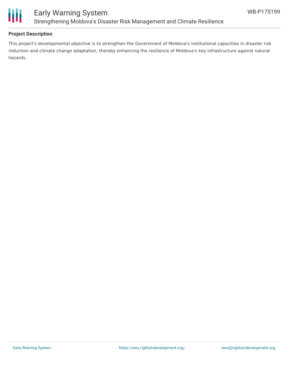

### **Project Description**

This project's developmental objective is to strengthen the Government of Moldova's institutional capacities in disaster risk reduction and climate change adaptation, thereby enhancing the resilience of Moldova's key infrastructure against natural hazards.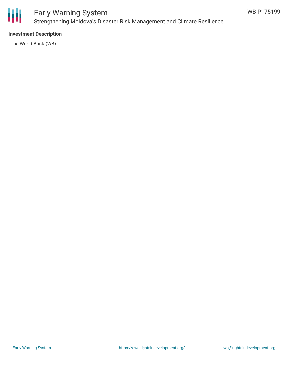

### Early Warning System Strengthening Moldova's Disaster Risk Management and Climate Resilience

### **Investment Description**

World Bank (WB)